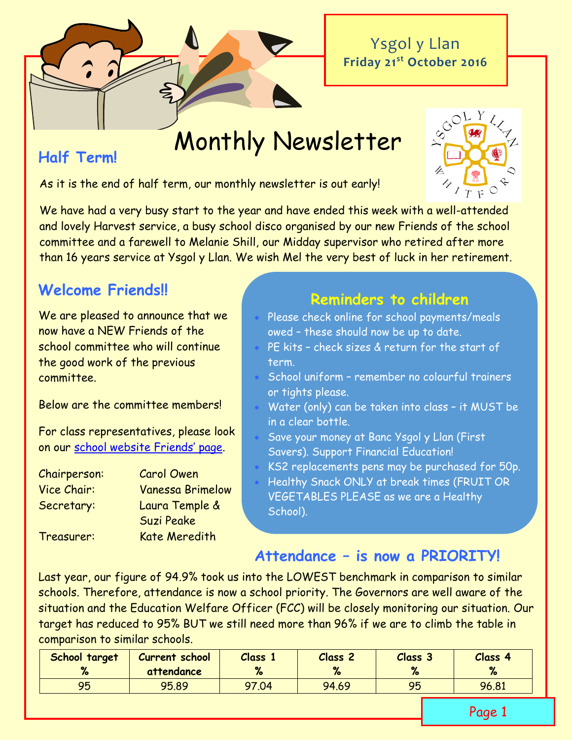Ysgol y Llan **Friday 21st October 2016**

Monthly Newsletter

## **Half Term!**

As it is the end of half term, our monthly newsletter is out early!

We have had a very busy start to the year and have ended this week with a well-attended and lovely Harvest service, a busy school disco organised by our new Friends of the school committee and a farewell to Melanie Shill, our Midday supervisor who retired after more than 16 years service at Ysgol y Llan. We wish Mel the very best of luck in her retirement.

# **Welcome Friends!!**

We are pleased to announce that we now have a NEW Friends of the school committee who will continue the good work of the previous committee.

Below are the committee members!

For class representatives, please look on our [school website Friends](http://www.ysgolyllan.co.uk/friends-of-ysgol-y-llan.html)' page.

Chairperson: Carol Owen Vice Chair: Vanessa Brimelow Secretary: Laura Temple & Suzi Peake

Treasurer: Kate Meredith

# **Reminders to children**

- Please check online for school payments/meals owed – these should now be up to date.
- PE kits check sizes & return for the start of term.
- www.<br>• School uniform remember no colourful trainers or tights please.
- Water (only) can be taken into class it MUST be in a clear bottle.
- Save your money at Banc Ysgol y Llan (First Savers). Support Financial Education!
- KS2 replacements pens may be purchased for 50p.
- Healthy Snack ONLY at break times (FRUIT OR VEGETABLES PLEASE as we are a Healthy School).

## **Attendance – is now a PRIORITY!**

Last year, our figure of 94.9% took us into the LOWEST benchmark in comparison to similar schools. Therefore, attendance is now a school priority. The Governors are well aware of the situation and the Education Welfare Officer (FCC) will be closely monitoring our situation. Our target has reduced to 95% BUT we still need more than 96% if we are to climb the table in comparison to similar schools.

| School target<br>% | <b>Current school</b><br>attendance | <b>Class</b><br>$\mathbf{a}$ | Class <sub>2</sub><br>$\mathbf{a}$ | Class 3<br>$\bullet$<br>$\sqrt{2}$ | Class 4<br>% |
|--------------------|-------------------------------------|------------------------------|------------------------------------|------------------------------------|--------------|
| 95                 | 95.89                               | 97.04                        | 94.69                              | 95                                 | 96.81        |

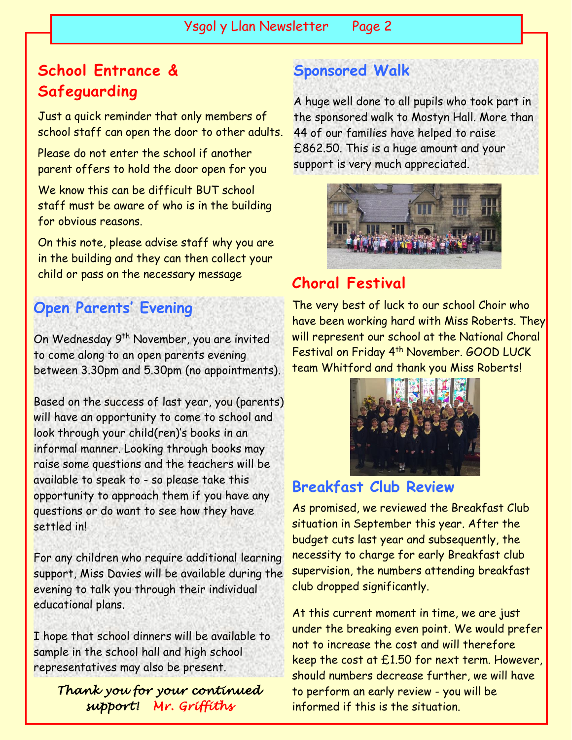# **School Entrance & Safeguarding**

Just a quick reminder that only members of school staff can open the door to other adults.

Please do not enter the school if another parent offers to hold the door open for you

We know this can be difficult BUT school staff must be aware of who is in the building for obvious reasons.

On this note, please advise staff why you are in the building and they can then collect your child or pass on the necessary message

# **Open Parents' Evening**

On Wednesday 9th November, you are invited to come along to an open parents evening between 3.30pm and 5.30pm (no appointments).

Based on the success of last year, you (parents) will have an opportunity to come to school and look through your child(ren)'s books in an informal manner. Looking through books may raise some questions and the teachers will be available to speak to - so please take this opportunity to approach them if you have any questions or do want to see how they have settled in!

For any children who require additional learning support, Miss Davies will be available during the evening to talk you through their individual educational plans.

I hope that school dinners will be available to sample in the school hall and high school representatives may also be present.

*Thank you for your continued support! Mr. Griffiths* 

# **Sponsored Walk**

A huge well done to all pupils who took part in the sponsored walk to Mostyn Hall. More than 44 of our families have helped to raise £862.50. This is a huge amount and your support is very much appreciated.



# **Choral Festival**

The very best of luck to our school Choir who have been working hard with Miss Roberts. They will represent our school at the National Choral Festival on Friday 4<sup>th</sup> November. GOOD LUCK team Whitford and thank you Miss Roberts!



## **Breakfast Club Review**

As promised, we reviewed the Breakfast Club situation in September this year. After the budget cuts last year and subsequently, the necessity to charge for early Breakfast club supervision, the numbers attending breakfast club dropped significantly.

At this current moment in time, we are just under the breaking even point. We would prefer not to increase the cost and will therefore keep the cost at £1.50 for next term. However, should numbers decrease further, we will have to perform an early review - you will be informed if this is the situation.